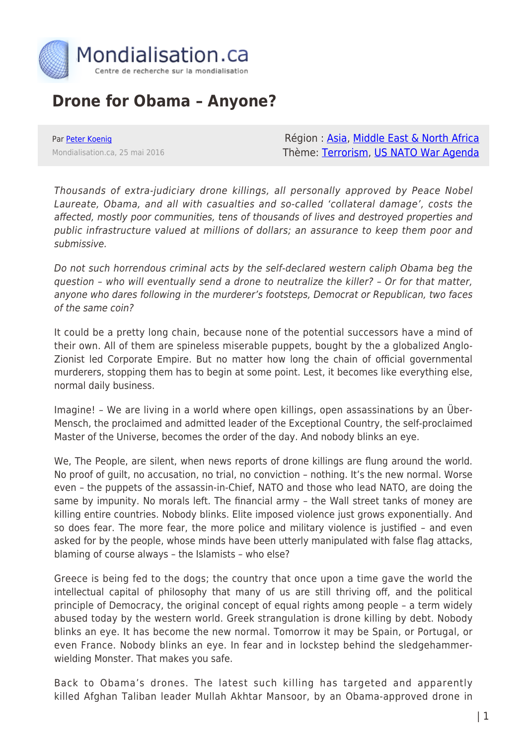

## **Drone for Obama – Anyone?**

Par [Peter Koenig](https://www.mondialisation.ca/author/peter-koenig) Mondialisation.ca, 25 mai 2016

Région : [Asia](https://www.mondialisation.ca/region/asia), [Middle East & North Africa](https://www.mondialisation.ca/region/middle-east) Thème: [Terrorism](https://www.mondialisation.ca/theme/9-11-war-on-terrorism), [US NATO War Agenda](https://www.mondialisation.ca/theme/us-nato-war-agenda)

Thousands of extra-judiciary drone killings, all personally approved by Peace Nobel Laureate, Obama, and all with casualties and so-called 'collateral damage', costs the affected, mostly poor communities, tens of thousands of lives and destroyed properties and public infrastructure valued at millions of dollars; an assurance to keep them poor and submissive.

Do not such horrendous criminal acts by the self-declared western caliph Obama beg the question – who will eventually send a drone to neutralize the killer? – Or for that matter, anyone who dares following in the murderer's footsteps, Democrat or Republican, two faces of the same coin?

It could be a pretty long chain, because none of the potential successors have a mind of their own. All of them are spineless miserable puppets, bought by the a globalized Anglo-Zionist led Corporate Empire. But no matter how long the chain of official governmental murderers, stopping them has to begin at some point. Lest, it becomes like everything else, normal daily business.

Imagine! – We are living in a world where open killings, open assassinations by an Über-Mensch, the proclaimed and admitted leader of the Exceptional Country, the self-proclaimed Master of the Universe, becomes the order of the day. And nobody blinks an eye.

We, The People, are silent, when news reports of drone killings are flung around the world. No proof of guilt, no accusation, no trial, no conviction – nothing. It's the new normal. Worse even – the puppets of the assassin-in-Chief, NATO and those who lead NATO, are doing the same by impunity. No morals left. The financial army – the Wall street tanks of money are killing entire countries. Nobody blinks. Elite imposed violence just grows exponentially. And so does fear. The more fear, the more police and military violence is justified – and even asked for by the people, whose minds have been utterly manipulated with false flag attacks, blaming of course always – the Islamists – who else?

Greece is being fed to the dogs; the country that once upon a time gave the world the intellectual capital of philosophy that many of us are still thriving off, and the political principle of Democracy, the original concept of equal rights among people – a term widely abused today by the western world. Greek strangulation is drone killing by debt. Nobody blinks an eye. It has become the new normal. Tomorrow it may be Spain, or Portugal, or even France. Nobody blinks an eye. In fear and in lockstep behind the sledgehammerwielding Monster. That makes you safe.

Back to Obama's drones. The latest such killing has targeted and apparently killed Afghan Taliban leader Mullah Akhtar Mansoor, by an Obama-approved drone in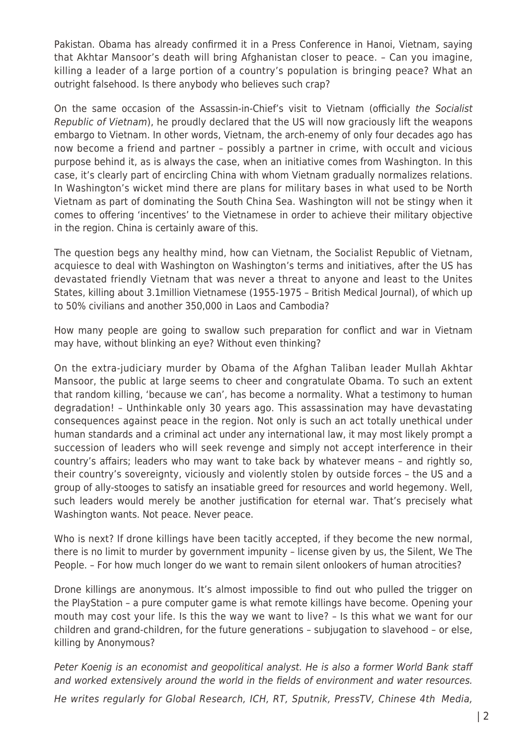Pakistan. Obama has already confirmed it in a Press Conference in Hanoi, Vietnam, saying that Akhtar Mansoor's death will bring Afghanistan closer to peace. – Can you imagine, killing a leader of a large portion of a country's population is bringing peace? What an outright falsehood. Is there anybody who believes such crap?

On the same occasion of the Assassin-in-Chief's visit to Vietnam (officially the Socialist Republic of Vietnam), he proudly declared that the US will now graciously lift the weapons embargo to Vietnam. In other words, Vietnam, the arch-enemy of only four decades ago has now become a friend and partner – possibly a partner in crime, with occult and vicious purpose behind it, as is always the case, when an initiative comes from Washington. In this case, it's clearly part of encircling China with whom Vietnam gradually normalizes relations. In Washington's wicket mind there are plans for military bases in what used to be North Vietnam as part of dominating the South China Sea. Washington will not be stingy when it comes to offering 'incentives' to the Vietnamese in order to achieve their military objective in the region. China is certainly aware of this.

The question begs any healthy mind, how can Vietnam, the Socialist Republic of Vietnam, acquiesce to deal with Washington on Washington's terms and initiatives, after the US has devastated friendly Vietnam that was never a threat to anyone and least to the Unites States, killing about 3.1million Vietnamese (1955-1975 – British Medical Journal), of which up to 50% civilians and another 350,000 in Laos and Cambodia?

How many people are going to swallow such preparation for conflict and war in Vietnam may have, without blinking an eye? Without even thinking?

On the extra-judiciary murder by Obama of the Afghan Taliban leader Mullah Akhtar Mansoor, the public at large seems to cheer and congratulate Obama. To such an extent that random killing, 'because we can', has become a normality. What a testimony to human degradation! – Unthinkable only 30 years ago. This assassination may have devastating consequences against peace in the region. Not only is such an act totally unethical under human standards and a criminal act under any international law, it may most likely prompt a succession of leaders who will seek revenge and simply not accept interference in their country's affairs; leaders who may want to take back by whatever means – and rightly so, their country's sovereignty, viciously and violently stolen by outside forces – the US and a group of ally-stooges to satisfy an insatiable greed for resources and world hegemony. Well, such leaders would merely be another justification for eternal war. That's precisely what Washington wants. Not peace. Never peace.

Who is next? If drone killings have been tacitly accepted, if they become the new normal, there is no limit to murder by government impunity – license given by us, the Silent, We The People. – For how much longer do we want to remain silent onlookers of human atrocities?

Drone killings are anonymous. It's almost impossible to find out who pulled the trigger on the PlayStation – a pure computer game is what remote killings have become. Opening your mouth may cost your life. Is this the way we want to live? – Is this what we want for our children and grand-children, for the future generations – subjugation to slavehood – or else, killing by Anonymous?

Peter Koenig is an economist and geopolitical analyst. He is also a former World Bank staff and worked extensively around the world in the fields of environment and water resources. He writes regularly for Global Research, ICH, RT, Sputnik, PressTV, Chinese 4th Media,